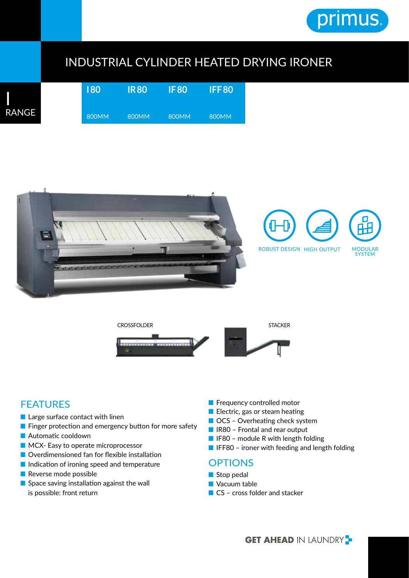

## INDUSTRIAL CYLINDER HEATED DRYING IRONER

|   | 180   | <b>IR80</b> | <b>IF80</b> | <b>IFF80</b> |  |  |
|---|-------|-------------|-------------|--------------|--|--|
| E | 800MM | 800MM       | 800MM       | 800MM        |  |  |





## **FEATURES**

I

**RANG** 

- Large surface contact with linen
- Finger protection and emergency button for more safety
- Automatic cooldown
- MCX- Easy to operate microprocessor
- Overdimensioned fan for flexible installation
- Indication of ironing speed and temperature
- Reverse mode possible
- Space saving installation against the wall is possible: front return
- Frequency controlled motor
- Electric, gas or steam heating
- OCS Overheating check system
- IR80 Frontal and rear output
- IF80 module R with length folding
- IFF80 ironer with feeding and length folding

## **OPTIONS**

- Stop pedal
- Vacuum table
- CS cross folder and stacker

**GET AHEAD IN LAUNDRY**